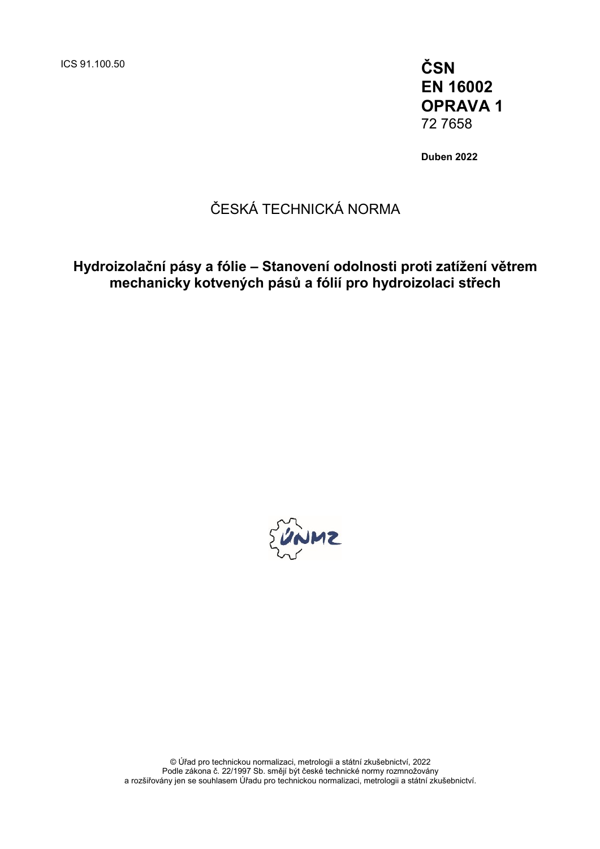ICS 91.100.50 **ČSN**

**EN 16002 OPRAVA 1** 72 7658

**Duben 2022**

### ČESKÁ TECHNICKÁ NORMA

**Hydroizolační pásy a fólie – Stanovení odolnosti proti zatížení větrem mechanicky kotvených pásů a fólií pro hydroizolaci střech**



© Úřad pro technickou normalizaci, metrologii a státní zkušebnictví, 2022 Podle zákona č. 22/1997 Sb. smějí být české technické normy rozmnožovány a rozšiřovány jen se souhlasem Úřadu pro technickou normalizaci, metrologii a státní zkušebnictví.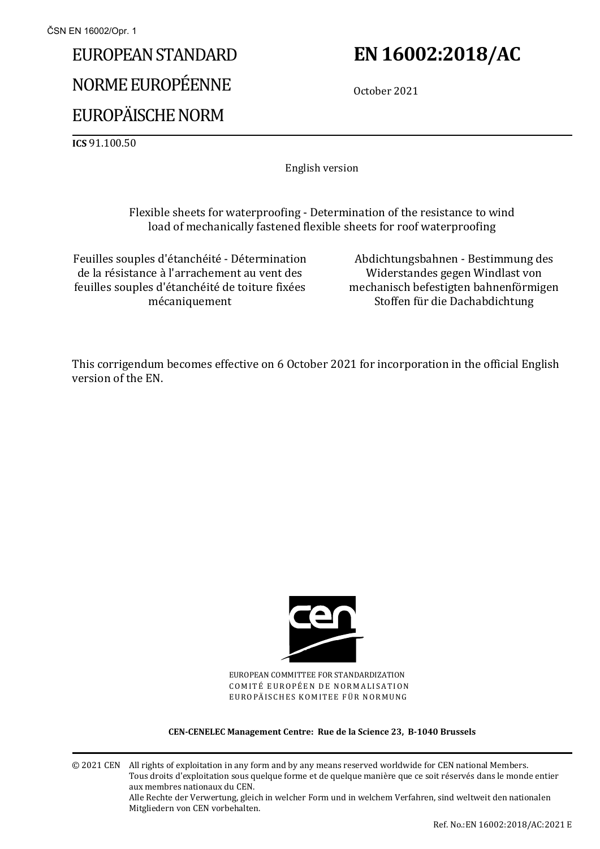# EUROPEAN STANDARD NORME EUROPÉENNE EUROPÄISCHE NORM

## **EN 16002:2018/AC**

October 2021

**ICS** 91.100.50

English version

Flexible sheets for waterproofing - Determination of the resistance to wind load of mechanically fastened flexible sheets for roof waterproofing

Feuilles souples d'étanchéité - Détermination de la résistance à l'arrachement au vent des feuilles souples d'étanchéité de toiture fixées mécaniquement

Abdichtungsbahnen - Bestimmung des Widerstandes gegen Windlast von mechanisch befestigten bahnenförmigen Stoffen für die Dachabdichtung

This corrigendum becomes effective on 6 October 2021 for incorporation in the official English version of the EN.



EUROPEAN COMMITTEE FOR STANDARDIZATION COMITÉ EUROPÉEN DE NORMALISATION EUROPÄISCHES KOMITEE FÜR NORMUNG

**CEN-CENELEC Management Centre: Rue de la Science 23, B-1040 Brussels**

© 2021 CEN All rights of exploitation in any form and by any means reserved worldwide for CEN national Members. Tous droits d'exploitation sous quelque forme et de quelque manière que ce soit réservés dans le monde entier aux membres nationaux du CEN. Alle Rechte der Verwertung, gleich in welcher Form und in welchem Verfahren, sind weltweit den nationalen Mitgliedern von CEN vorbehalten.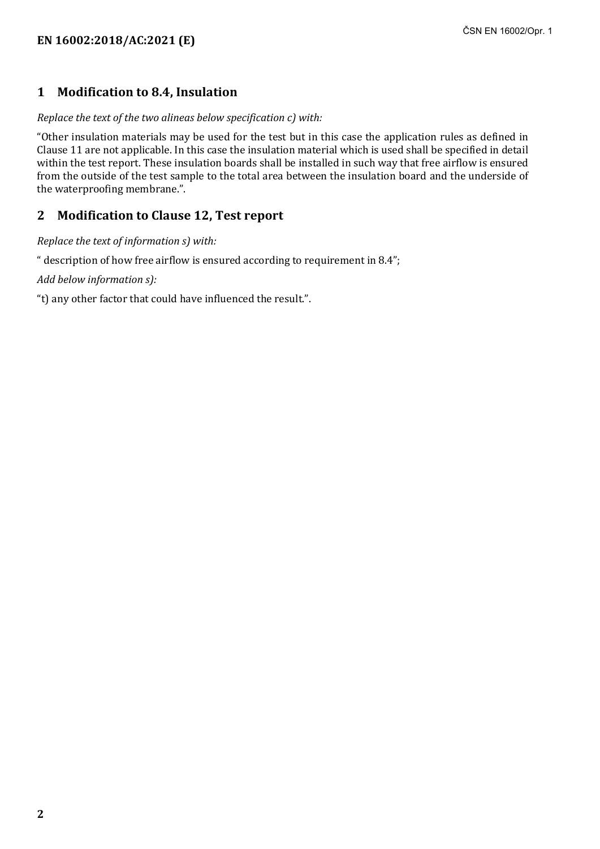#### **1 Modification to 8.4, Insulation**

#### *Replace the text of the two alineas below specification c) with:*

"Other insulation materials may be used for the test but in this case the application rules as defined in Clause 11 are not applicable. In this case the insulation material which is used shall be specified in detail within the test report. These insulation boards shall be installed in such way that free airflow is ensured from the outside of the test sample to the total area between the insulation board and the underside of the waterproofing membrane.".

#### **2 Modification to Clause 12, Test report**

*Replace the text of information s) with:*

" description of how free airflow is ensured according to requirement in 8.4";

*Add below information s):*

"t) any other factor that could have influenced the result.".